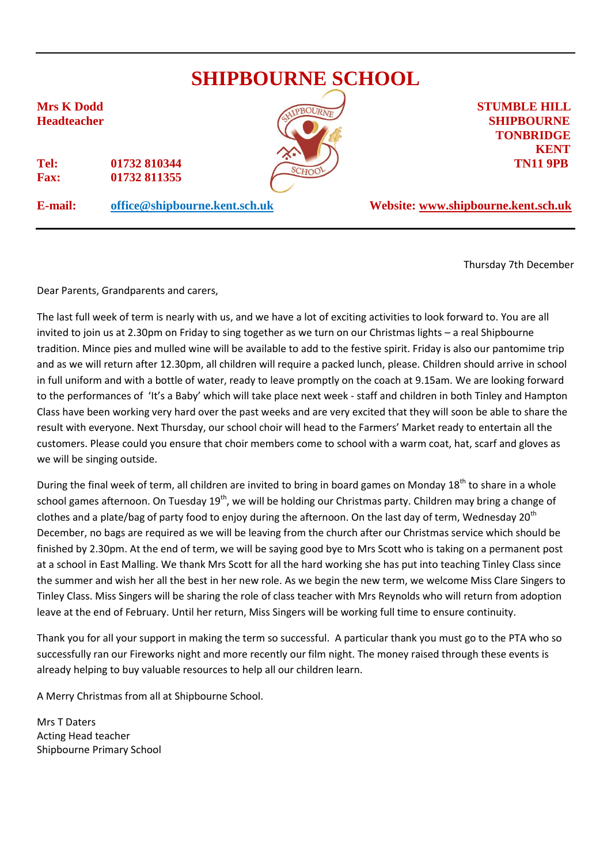

Thursday 7th December

Dear Parents, Grandparents and carers,

The last full week of term is nearly with us, and we have a lot of exciting activities to look forward to. You are all invited to join us at 2.30pm on Friday to sing together as we turn on our Christmas lights – a real Shipbourne tradition. Mince pies and mulled wine will be available to add to the festive spirit. Friday is also our pantomime trip and as we will return after 12.30pm, all children will require a packed lunch, please. Children should arrive in school in full uniform and with a bottle of water, ready to leave promptly on the coach at 9.15am. We are looking forward to the performances of 'It's a Baby' which will take place next week - staff and children in both Tinley and Hampton Class have been working very hard over the past weeks and are very excited that they will soon be able to share the result with everyone. Next Thursday, our school choir will head to the Farmers' Market ready to entertain all the customers. Please could you ensure that choir members come to school with a warm coat, hat, scarf and gloves as we will be singing outside.

During the final week of term, all children are invited to bring in board games on Monday  $18<sup>th</sup>$  to share in a whole school games afternoon. On Tuesday 19<sup>th</sup>, we will be holding our Christmas party. Children may bring a change of clothes and a plate/bag of party food to enjoy during the afternoon. On the last day of term, Wednesday 20<sup>th</sup> December, no bags are required as we will be leaving from the church after our Christmas service which should be finished by 2.30pm. At the end of term, we will be saying good bye to Mrs Scott who is taking on a permanent post at a school in East Malling. We thank Mrs Scott for all the hard working she has put into teaching Tinley Class since the summer and wish her all the best in her new role. As we begin the new term, we welcome Miss Clare Singers to Tinley Class. Miss Singers will be sharing the role of class teacher with Mrs Reynolds who will return from adoption leave at the end of February. Until her return, Miss Singers will be working full time to ensure continuity.

Thank you for all your support in making the term so successful. A particular thank you must go to the PTA who so successfully ran our Fireworks night and more recently our film night. The money raised through these events is already helping to buy valuable resources to help all our children learn.

A Merry Christmas from all at Shipbourne School.

Mrs T Daters Acting Head teacher Shipbourne Primary School